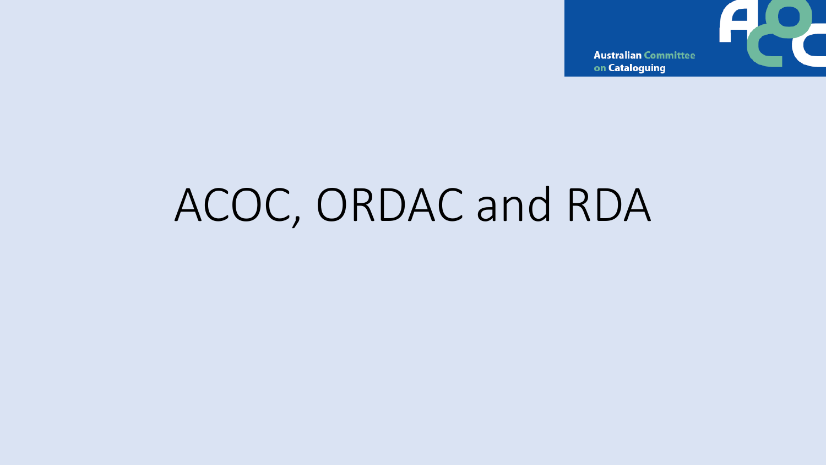

on Cataloguing

# ACOC, ORDAC and RDA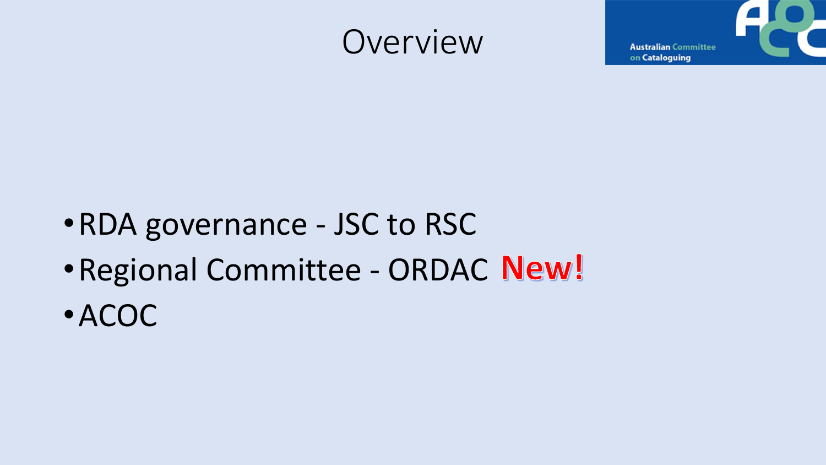## Overview

**Australian Committee** on Cataloguing

- •RDA governance JSC to RSC
- Regional Committee ORDAC New!
- •ACOC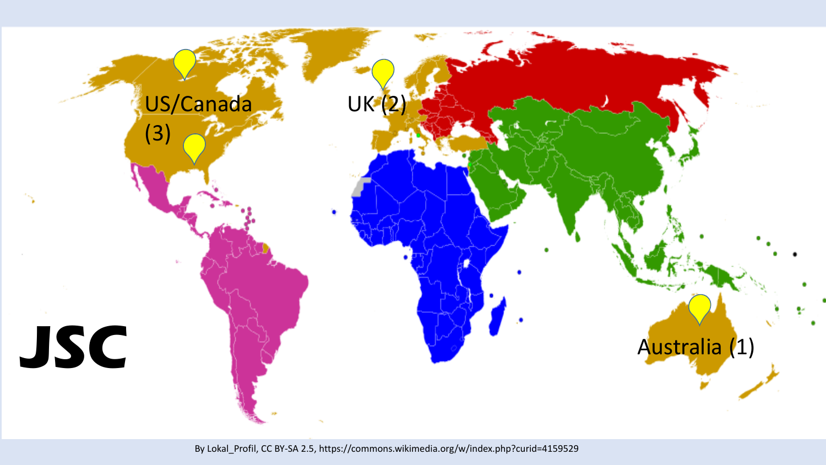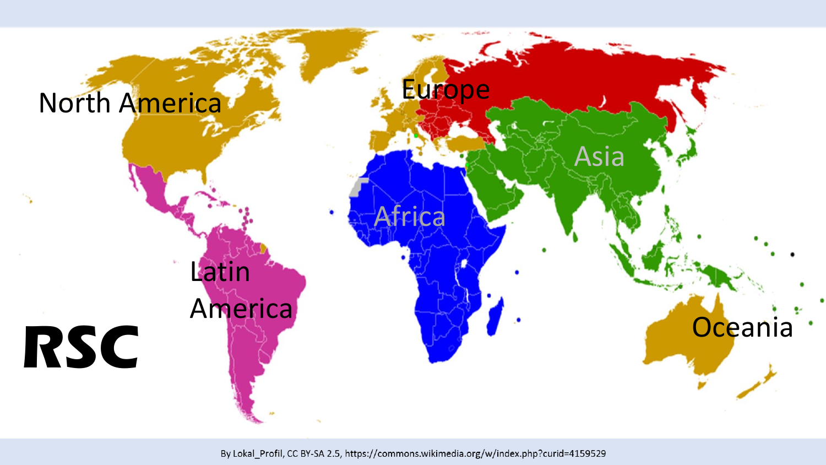

By Lokal\_Profil, CC BY-SA 2.5, https://commons.wikimedia.org/w/index.php?curid=4159529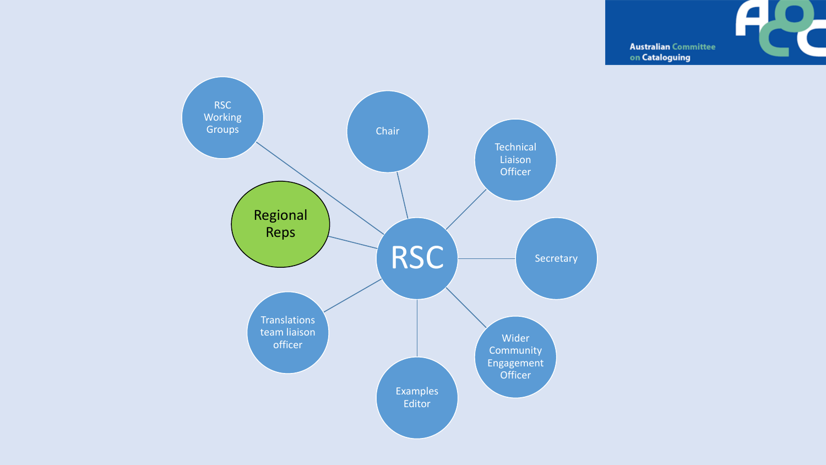

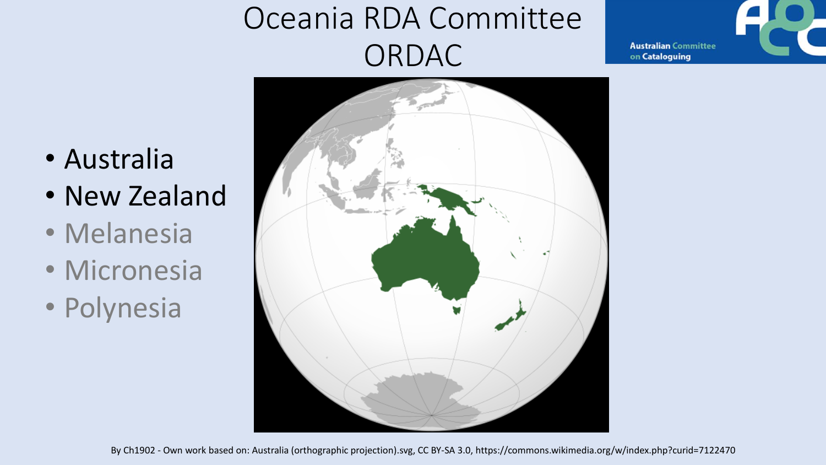## Oceania RDA Committee ORDAC



- Australia
- New Zealand
- Melanesia
- Micronesia
- Polynesia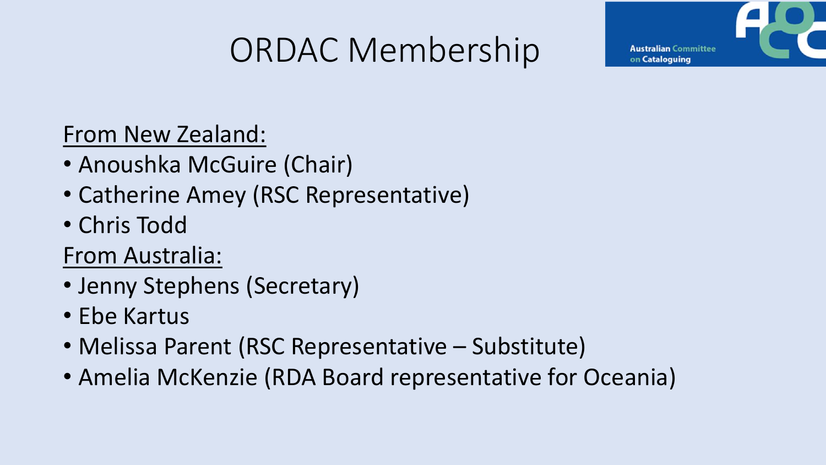# ORDAC Membership

From New Zealand:

- Anoushka McGuire (Chair)
- Catherine Amey (RSC Representative)
- Chris Todd

From Australia:

- Jenny Stephens (Secretary)
- Ebe Kartus
- Melissa Parent (RSC Representative Substitute)
- Amelia McKenzie (RDA Board representative for Oceania)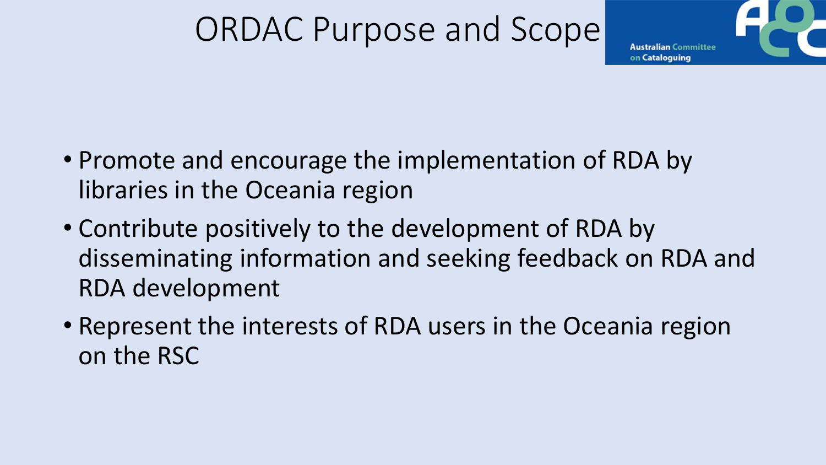## ORDAC Purpose and Scope



- Promote and encourage the implementation of RDA by libraries in the Oceania region
- Contribute positively to the development of RDA by disseminating information and seeking feedback on RDA and RDA development
- Represent the interests of RDA users in the Oceania region on the RSC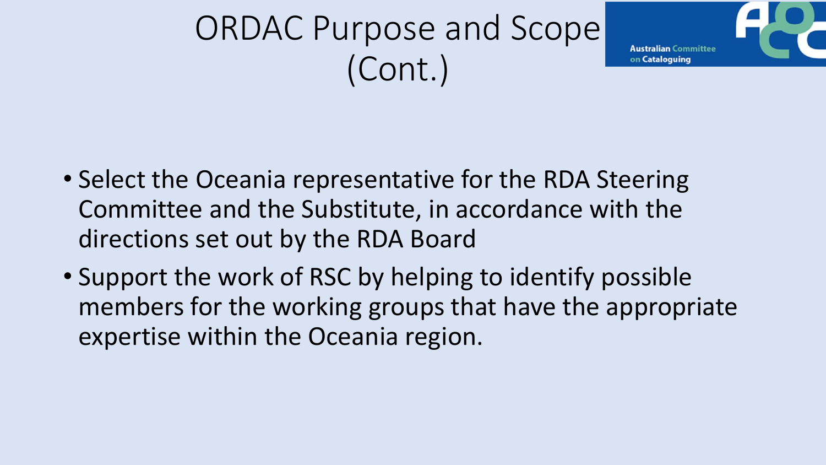# ORDAC Purpose and Scope (Cont.)



- Select the Oceania representative for the RDA Steering Committee and the Substitute, in accordance with the directions set out by the RDA Board
- Support the work of RSC by helping to identify possible members for the working groups that have the appropriate expertise within the Oceania region.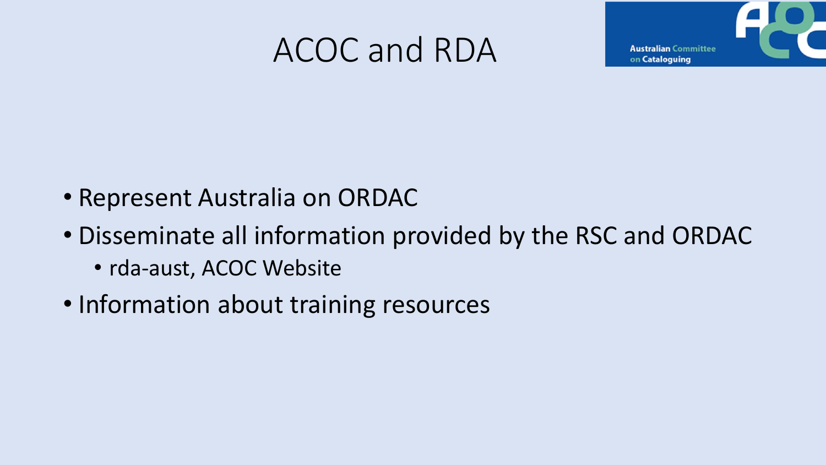## ACOC and RDA



- Represent Australia on ORDAC
- Disseminate all information provided by the RSC and ORDAC
	- rda-aust, ACOC Website
- Information about training resources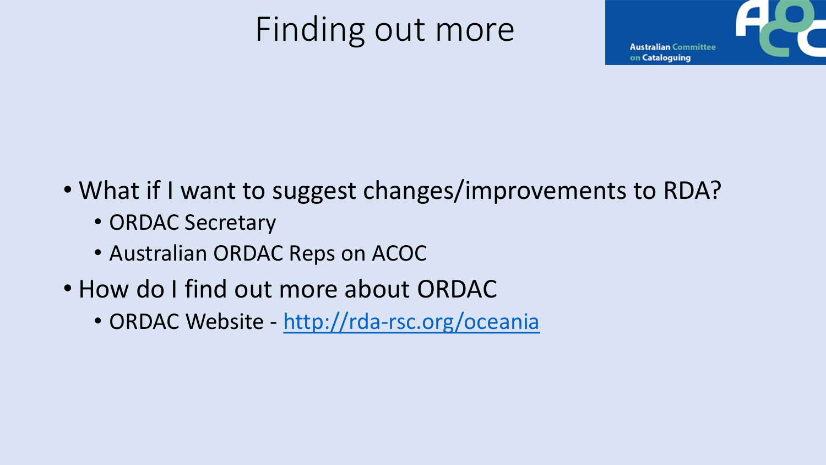# Finding out more



- What if I want to suggest changes/improvements to RDA?
	- ORDAC Secretary
	- Australian ORDAC Reps on ACOC
- How do I find out more about ORDAC
	- ORDAC Website <http://rda-rsc.org/oceania>